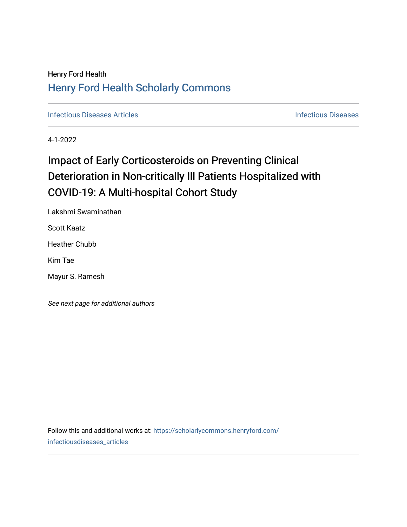## Henry Ford Health [Henry Ford Health Scholarly Commons](https://scholarlycommons.henryford.com/)

**[Infectious Diseases](https://scholarlycommons.henryford.com/infectiousdiseases) Articles Infectious Diseases Infectious Diseases** 

4-1-2022

# Impact of Early Corticosteroids on Preventing Clinical Deterioration in Non-critically Ill Patients Hospitalized with COVID-19: A Multi-hospital Cohort Study

Lakshmi Swaminathan

Scott Kaatz

Heather Chubb

Kim Tae

Mayur S. Ramesh

See next page for additional authors

Follow this and additional works at: [https://scholarlycommons.henryford.com/](https://scholarlycommons.henryford.com/infectiousdiseases_articles?utm_source=scholarlycommons.henryford.com%2Finfectiousdiseases_articles%2F171&utm_medium=PDF&utm_campaign=PDFCoverPages) [infectiousdiseases\\_articles](https://scholarlycommons.henryford.com/infectiousdiseases_articles?utm_source=scholarlycommons.henryford.com%2Finfectiousdiseases_articles%2F171&utm_medium=PDF&utm_campaign=PDFCoverPages)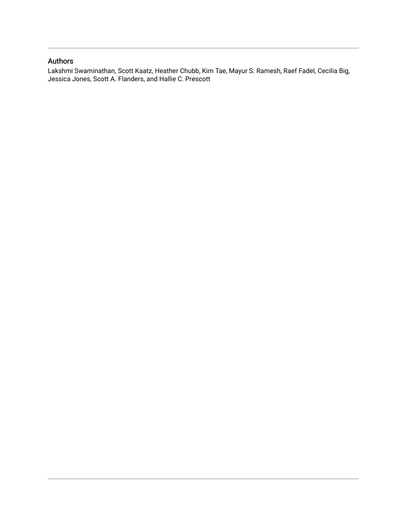## Authors

Lakshmi Swaminathan, Scott Kaatz, Heather Chubb, Kim Tae, Mayur S. Ramesh, Raef Fadel, Cecilia Big, Jessica Jones, Scott A. Flanders, and Hallie C. Prescott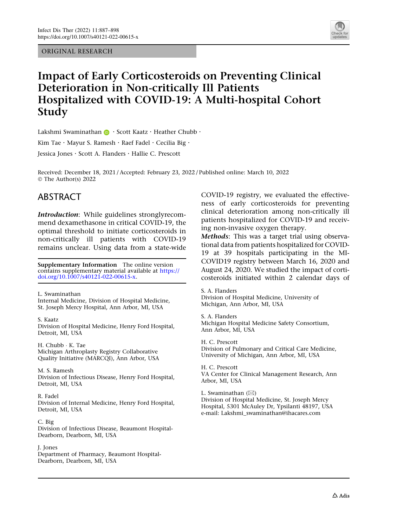ORIGINAL RESEARCH



## Impact of Early Corticosteroids on Preventing Clinical Deterioration in Non-critically Ill Patients Hospitalized with COVID-19: A Multi-hospital Cohort Study

Lakshmi Swaminathan **D** · Scott Kaatz · Heather Chubb ·

Kim Tae · Mayur S. Ramesh · Raef Fadel · Cecilia Big ·

Jessica Jones . Scott A. Flanders . Hallie C. Prescott

Received: December 18, 2021 / Accepted: February 23, 2022 / Published online: March 10, 2022 © The Author(s) 2022

## ABSTRACT

Introduction: While guidelines stronglyrecommend dexamethasone in critical COVID-19, the optimal threshold to initiate corticosteroids in non-critically ill patients with COVID-19 remains unclear. Using data from a state-wide

Supplementary Information The online version contains supplementary material available at [https://](https://doi.org/10.1007/s40121-022-00615-x) [doi.org/10.1007/s40121-022-00615-x.](https://doi.org/10.1007/s40121-022-00615-x)

L. Swaminathan Internal Medicine, Division of Hospital Medicine, St. Joseph Mercy Hospital, Ann Arbor, MI, USA

S. Kaatz Division of Hospital Medicine, Henry Ford Hospital, Detroit, MI, USA

H. Chubb - K. Tae Michigan Arthroplasty Registry Collaborative Quality Initiative (MARCQI), Ann Arbor, USA

M. S. Ramesh Division of Infectious Disease, Henry Ford Hospital, Detroit, MI, USA

R. Fadel Division of Internal Medicine, Henry Ford Hospital, Detroit, MI, USA

C. Big Division of Infectious Disease, Beaumont Hospital-Dearborn, Dearborn, MI, USA

J. Jones Department of Pharmacy, Beaumont Hospital-Dearborn, Dearborn, MI, USA

COVID-19 registry, we evaluated the effectiveness of early corticosteroids for preventing clinical deterioration among non-critically ill patients hospitalized for COVID-19 and receiving non-invasive oxygen therapy.

Methods: This was a target trial using observational data from patients hospitalized for COVID-19 at 39 hospitals participating in the MI-COVID19 registry between March 16, 2020 and August 24, 2020. We studied the impact of corticosteroids initiated within 2 calendar days of

S. A. Flanders Division of Hospital Medicine, University of Michigan, Ann Arbor, MI, USA

S. A. Flanders Michigan Hospital Medicine Safety Consortium, Ann Arbor, MI, USA

H. C. Prescott Division of Pulmonary and Critical Care Medicine, University of Michigan, Ann Arbor, MI, USA

H. C. Prescott VA Center for Clinical Management Research, Ann Arbor, MI, USA

L. Swaminathan  $(\boxtimes)$ Division of Hospital Medicine, St. Joseph Mercy Hospital, 5301 McAuley Dr, Ypsilanti 48197, USA e-mail: Lakshmi\_swaminathan@ihacares.com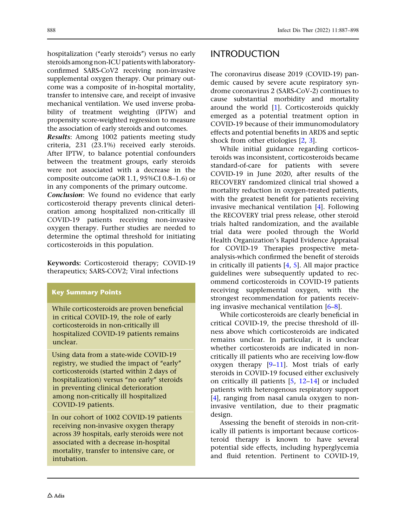hospitalization ("early steroids") versus no early steroids among non-ICU patients with laboratoryconfirmed SARS-CoV2 receiving non-invasive supplemental oxygen therapy. Our primary outcome was a composite of in-hospital mortality, transfer to intensive care, and receipt of invasive mechanical ventilation. We used inverse probability of treatment weighting (IPTW) and propensity score-weighted regression to measure the association of early steroids and outcomes.

Results: Among 1002 patients meeting study criteria, 231 (23.1%) received early steroids. After IPTW, to balance potential confounders between the treatment groups, early steroids were not associated with a decrease in the composite outcome (aOR 1.1, 95%CI 0.8–1.6) or in any components of the primary outcome.

Conclusion: We found no evidence that early corticosteroid therapy prevents clinical deterioration among hospitalized non-critically ill COVID-19 patients receiving non-invasive oxygen therapy. Further studies are needed to determine the optimal threshold for initiating corticosteroids in this population.

Keywords: Corticosteroid therapy; COVID-19 therapeutics; SARS-COV2; Viral infections

#### Key Summary Points

While corticosteroids are proven beneficial in critical COVID-19, the role of early corticosteroids in non-critically ill hospitalized COVID-19 patients remains unclear.

Using data from a state-wide COVID-19 registry, we studied the impact of "early" corticosteroids (started within 2 days of hospitalization) versus "no early" steroids in preventing clinical deterioration among non-critically ill hospitalized COVID-19 patients.

In our cohort of 1002 COVID-19 patients receiving non-invasive oxygen therapy across 39 hospitals, early steroids were not associated with a decrease in-hospital mortality, transfer to intensive care, or intubation.

## INTRODUCTION

The coronavirus disease 2019 (COVID-19) pandemic caused by severe acute respiratory syndrome coronavirus 2 (SARS-CoV-2) continues to cause substantial morbidity and mortality around the world [\[1\]](#page-11-0). Corticosteroids quickly emerged as a potential treatment option in COVID-19 because of their immunomodulatory effects and potential benefits in ARDS and septic shock from other etiologies [[2](#page-11-0), [3](#page-12-0)].

While initial guidance regarding corticosteroids was inconsistent, corticosteroids became standard-of-care for patients with severe COVID-19 in June 2020, after results of the RECOVERY randomized clinical trial showed a mortality reduction in oxygen-treated patients, with the greatest benefit for patients receiving invasive mechanical ventilation [[4\]](#page-12-0). Following the RECOVERY trial press release, other steroid trials halted randomization, and the available trial data were pooled through the World Health Organization's Rapid Evidence Appraisal for COVID-19 Therapies prospective metaanalysis-which confirmed the benefit of steroids in critically ill patients [[4](#page-12-0), [5\]](#page-12-0). All major practice guidelines were subsequently updated to recommend corticosteroids in COVID-19 patients receiving supplemental oxygen, with the strongest recommendation for patients receiving invasive mechanical ventilation [[6–8](#page-12-0)].

While corticosteroids are clearly beneficial in critical COVID-19, the precise threshold of illness above which corticosteroids are indicated remains unclear. In particular, it is unclear whether corticosteroids are indicated in noncritically ill patients who are receiving low-flow oxygen therapy  $[9-11]$ . Most trials of early steroids in COVID-19 focused either exclusively on critically ill patients [[5](#page-12-0), [12–14](#page-12-0)] or included patients with heterogenous respiratory support [\[4](#page-12-0)], ranging from nasal canula oxygen to noninvasive ventilation, due to their pragmatic design.

Assessing the benefit of steroids in non-critically ill patients is important because corticosteroid therapy is known to have several potential side effects, including hyperglycemia and fluid retention. Pertinent to COVID-19,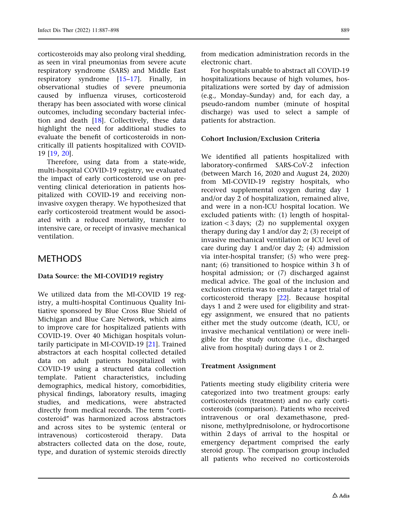corticosteroids may also prolong viral shedding, as seen in viral pneumonias from severe acute respiratory syndrome (SARS) and Middle East respiratory syndrome [[15–17](#page-12-0)]. Finally, in observational studies of severe pneumonia caused by influenza viruses, corticosteroid therapy has been associated with worse clinical outcomes, including secondary bacterial infection and death [\[18\]](#page-12-0). Collectively, these data highlight the need for additional studies to evaluate the benefit of corticosteroids in noncritically ill patients hospitalized with COVID-19 [[19](#page-12-0), [20\]](#page-12-0).

Therefore, using data from a state-wide, multi-hospital COVID-19 registry, we evaluated the impact of early corticosteroid use on preventing clinical deterioration in patients hospitalized with COVID-19 and receiving noninvasive oxygen therapy. We hypothesized that early corticosteroid treatment would be associated with a reduced mortality, transfer to intensive care, or receipt of invasive mechanical ventilation.

## **METHODS**

#### Data Source: the MI-COVID19 registry

We utilized data from the MI-COVID 19 registry, a multi-hospital Continuous Quality Initiative sponsored by Blue Cross Blue Shield of Michigan and Blue Care Network, which aims to improve care for hospitalized patients with COVID-19. Over 40 Michigan hospitals voluntarily participate in MI-COVID-19 [\[21\]](#page-12-0). Trained abstractors at each hospital collected detailed data on adult patients hospitalized with COVID-19 using a structured data collection template. Patient characteristics, including demographics, medical history, comorbidities, physical findings, laboratory results, imaging studies, and medications, were abstracted directly from medical records. The term "corticosteroid'' was harmonized across abstractors and across sites to be systemic (enteral or intravenous) corticosteroid therapy. Data abstracters collected data on the dose, route, type, and duration of systemic steroids directly

from medication administration records in the electronic chart.

For hospitals unable to abstract all COVID-19 hospitalizations because of high volumes, hospitalizations were sorted by day of admission (e.g., Monday–Sunday) and, for each day, a pseudo-random number (minute of hospital discharge) was used to select a sample of patients for abstraction.

#### Cohort Inclusion/Exclusion Criteria

We identified all patients hospitalized with laboratory-confirmed SARS-CoV-2 infection (between March 16, 2020 and August 24, 2020) from MI-COVID-19 registry hospitals, who received supplemental oxygen during day 1 and/or day 2 of hospitalization, remained alive, and were in a non-ICU hospital location. We excluded patients with: (1) length of hospitalization  $<$  3 days; (2) no supplemental oxygen therapy during day 1 and/or day 2; (3) receipt of invasive mechanical ventilation or ICU level of care during day 1 and/or day 2; (4) admission via inter-hospital transfer; (5) who were pregnant; (6) transitioned to hospice within 3 h of hospital admission; or (7) discharged against medical advice. The goal of the inclusion and exclusion criteria was to emulate a target trial of corticosteroid therapy [[22](#page-12-0)]. Because hospital days 1 and 2 were used for eligibility and strategy assignment, we ensured that no patients either met the study outcome (death, ICU, or invasive mechanical ventilation) or were ineligible for the study outcome (i.e., discharged alive from hospital) during days 1 or 2.

#### Treatment Assignment

Patients meeting study eligibility criteria were categorized into two treatment groups: early corticosteroids (treatment) and no early corticosteroids (comparison). Patients who received intravenous or oral dexamethasone, prednisone, methylprednisolone, or hydrocortisone within 2 days of arrival to the hospital or emergency department comprised the early steroid group. The comparison group included all patients who received no corticosteroids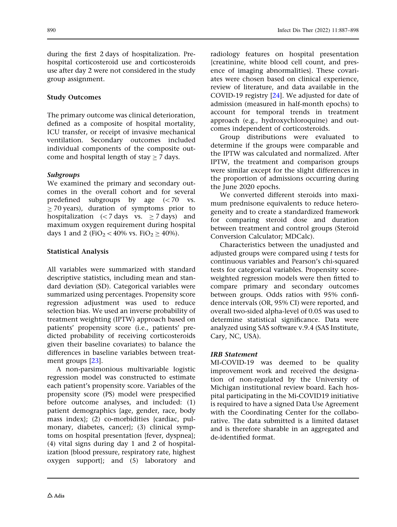during the first 2 days of hospitalization. Prehospital corticosteroid use and corticosteroids use after day 2 were not considered in the study group assignment.

#### Study Outcomes

The primary outcome was clinical deterioration, defined as a composite of hospital mortality, ICU transfer, or receipt of invasive mechanical ventilation. Secondary outcomes included individual components of the composite outcome and hospital length of stay  $> 7$  days.

#### Subgroups

We examined the primary and secondary outcomes in the overall cohort and for several predefined subgroups by age  $( $70$  vs.$  $>$  70 years), duration of symptoms prior to hospitalization ( $\langle$  7 days vs.  $\geq$  7 days) and maximum oxygen requirement during hospital days 1 and 2 (FiO<sub>2</sub> < 40% vs. FiO<sub>2</sub>  $\geq$  40%).

#### Statistical Analysis

All variables were summarized with standard descriptive statistics, including mean and standard deviation (SD). Categorical variables were summarized using percentages. Propensity score regression adjustment was used to reduce selection bias. We used an inverse probability of treatment weighting (IPTW) approach based on patients' propensity score (i.e., patients' predicted probability of receiving corticosteroids given their baseline covariates) to balance the differences in baseline variables between treatment groups [[23](#page-13-0)].

A non-parsimonious multivariable logistic regression model was constructed to estimate each patient's propensity score. Variables of the propensity score (PS) model were prespecified before outcome analyses, and included: (1) patient demographics {age, gender, race, body mass index}; (2) co-morbidities {cardiac, pulmonary, diabetes, cancer}; (3) clinical symptoms on hospital presentation {fever, dyspnea}; (4) vital signs during day 1 and 2 of hospitalization {blood pressure, respiratory rate, highest oxygen support}; and (5) laboratory and

radiology features on hospital presentation {creatinine, white blood cell count, and presence of imaging abnormalities}. These covariates were chosen based on clinical experience, review of literature, and data available in the COVID-19 registry [[24](#page-13-0)]. We adjusted for date of admission (measured in half-month epochs) to account for temporal trends in treatment approach (e.g., hydroxychloroquine) and outcomes independent of corticosteroids.

Group distributions were evaluated to determine if the groups were comparable and the IPTW was calculated and normalized. After IPTW, the treatment and comparison groups were similar except for the slight differences in the proportion of admissions occurring during the June 2020 epochs.

We converted different steroids into maximum prednisone equivalents to reduce heterogeneity and to create a standardized framework for comparing steroid dose and duration between treatment and control groups (Steroid Conversion Calculator; MDCalc).

Characteristics between the unadjusted and adjusted groups were compared using t tests for continuous variables and Pearson's chi-squared tests for categorical variables. Propensity scoreweighted regression models were then fitted to compare primary and secondary outcomes between groups. Odds ratios with 95% confidence intervals (OR, 95% CI) were reported, and overall two-sided alpha-level of 0.05 was used to determine statistical significance. Data were analyzed using SAS software v.9.4 (SAS Institute, Cary, NC, USA).

#### IRB Statement

MI-COVID-19 was deemed to be quality improvement work and received the designation of non-regulated by the University of Michigan institutional review board. Each hospital participating in the Mi-COVID19 initiative is required to have a signed Data Use Agreement with the Coordinating Center for the collaborative. The data submitted is a limited dataset and is therefore sharable in an aggregated and de-identified format.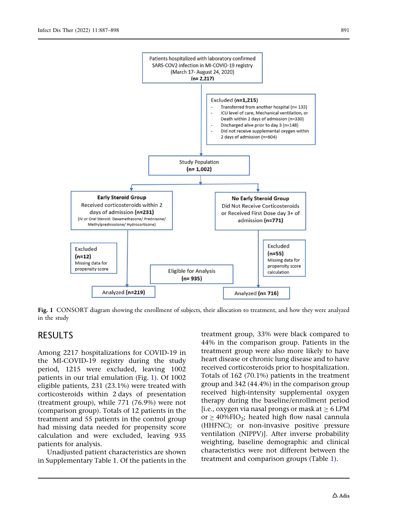

Fig. 1 CONSORT diagram showing the enrollment of subjects, their allocation to treatment, and how they were analyzed in the study

## RESULTS

Among 2217 hospitalizations for COVID-19 in the MI-COVID-19 registry during the study period, 1215 were excluded, leaving 1002 patients in our trial emulation (Fig. 1). Of 1002 eligible patients, 231 (23.1%) were treated with corticosteroids within 2 days of presentation (treatment group), while 771 (76.9%) were not (comparison group). Totals of 12 patients in the treatment and 55 patients in the control group had missing data needed for propensity score calculation and were excluded, leaving 935 patients for analysis.

Unadjusted patient characteristics are shown in Supplementary Table 1. Of the patients in the

treatment group, 33% were black compared to 44% in the comparison group. Patients in the treatment group were also more likely to have heart disease or chronic lung disease and to have received corticosteroids prior to hospitalization. Totals of 162 (70.1%) patients in the treatment group and 342 (44.4%) in the comparison group received high-intensity supplemental oxygen therapy during the baseline/enrollment period [i.e., oxygen via nasal prongs or mask at  $\geq 6$  LPM or  $\geq$  40%FIO<sub>2</sub>; heated high flow nasal cannula (HHFNC); or non-invasive positive pressure ventilation (NIPPV)]. After inverse probability weighting, baseline demographic and clinical characteristics were not different between the treatment and comparison groups (Table [1](#page-7-0)).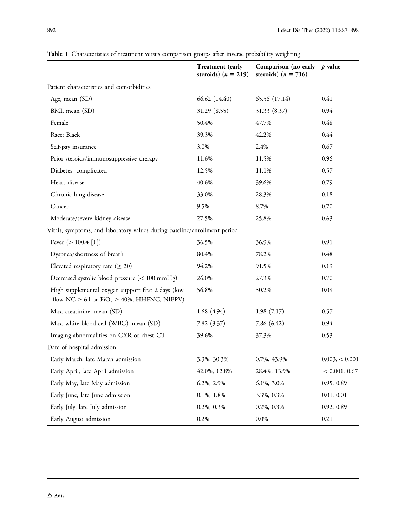|                                                                                                                         | <b>Treatment</b> (early<br>steroids) $(n = 219)$ | Comparison (no early $p$ value<br>steroids) $(n = 716)$ |               |
|-------------------------------------------------------------------------------------------------------------------------|--------------------------------------------------|---------------------------------------------------------|---------------|
| Patient characteristics and comorbidities                                                                               |                                                  |                                                         |               |
| Age, mean (SD)                                                                                                          | 66.62 (14.40)                                    | 65.56 (17.14)                                           | 0.41          |
| BMI, mean (SD)                                                                                                          | 31.29 (8.55)                                     | 31.33 (8.37)                                            | 0.94          |
| Female                                                                                                                  | 50.4%                                            | 47.7%                                                   | 0.48          |
| Race: Black                                                                                                             | 39.3%                                            | 42.2%                                                   | 0.44          |
| Self-pay insurance                                                                                                      | 3.0%                                             | 2.4%                                                    | 0.67          |
| Prior steroids/immunosuppressive therapy                                                                                | 11.6%                                            | 11.5%                                                   | 0.96          |
| Diabetes-complicated                                                                                                    | 12.5%                                            | 11.1%                                                   | 0.57          |
| Heart disease                                                                                                           | 40.6%                                            | 39.6%                                                   | 0.79          |
| Chronic lung disease                                                                                                    | 33.0%                                            | 28.3%                                                   | 0.18          |
| Cancer                                                                                                                  | 9.5%                                             | 8.7%                                                    | 0.70          |
| Moderate/severe kidney disease                                                                                          | 27.5%                                            | 25.8%                                                   | 0.63          |
| Vitals, symptoms, and laboratory values during baseline/enrollment period                                               |                                                  |                                                         |               |
| Fever $(>100.4$ [F])                                                                                                    | 36.5%                                            | 36.9%                                                   | 0.91          |
| Dyspnea/shortness of breath                                                                                             | 80.4%                                            | 78.2%                                                   | 0.48          |
| Elevated respiratory rate ( $\geq 20$ )                                                                                 | 94.2%                                            | 91.5%                                                   | 0.19          |
| Decreased systolic blood pressure (< 100 mmHg)                                                                          | 26.0%                                            | 27.3%                                                   | 0.70          |
| High supplemental oxygen support first 2 days (low<br>flow NC $\geq 61$ or FiO <sub>2</sub> $\geq 40\%$ , HHFNC, NIPPV) | 56.8%                                            | 50.2%                                                   | 0.09          |
| Max. creatinine, mean (SD)                                                                                              | 1.68(4.94)                                       | 1.98(7.17)                                              | 0.57          |
| Max. white blood cell (WBC), mean (SD)                                                                                  | 7.82(3.37)                                       | 7.86(6.42)                                              | 0.94          |
| Imaging abnormalities on CXR or chest CT                                                                                | 39.6%                                            | 37.3%                                                   | 0.53          |
| Date of hospital admission                                                                                              |                                                  |                                                         |               |
| Early March, late March admission                                                                                       | 3.3%, 30.3%                                      | 0.7%, 43.9%                                             | 0.003,<0.001  |
| Early April, late April admission                                                                                       | 42.0%, 12.8%                                     | 28.4%, 13.9%                                            | < 0.001, 0.67 |
| Early May, late May admission                                                                                           | 6.2%, 2.9%                                       | 6.1%, 3.0%                                              | 0.95, 0.89    |
| Early June, late June admission                                                                                         | $0.1\%, 1.8\%$                                   | 3.3%, 0.3%                                              | 0.01, 0.01    |
| Early July, late July admission                                                                                         | 0.2%, 0.3%                                       | 0.2%, 0.3%                                              | 0.92, 0.89    |
| Early August admission                                                                                                  | 0.2%                                             | $0.0\%$                                                 | 0.21          |

<span id="page-7-0"></span>Table 1 Characteristics of treatment versus comparison groups after inverse probability weighting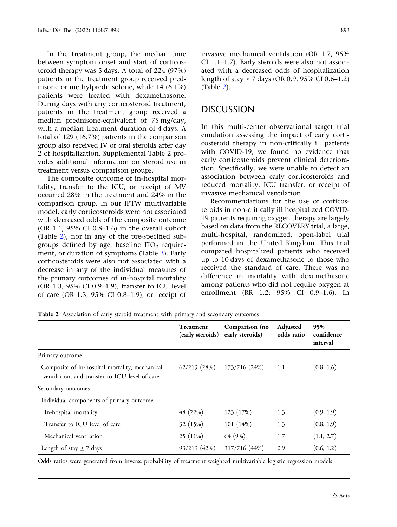In the treatment group, the median time between symptom onset and start of corticosteroid therapy was 5 days. A total of 224 (97%) patients in the treatment group received prednisone or methylprednisolone, while 14 (6.1%) patients were treated with dexamethasone. During days with any corticosteroid treatment, patients in the treatment group received a median prednisone-equivalent of 75 mg/day, with a median treatment duration of 4 days. A total of 129 (16.7%) patients in the comparison group also received IV or oral steroids after day 2 of hospitalization. Supplemental Table 2 provides additional information on steroid use in treatment versus comparison groups.

The composite outcome of in-hospital mortality, transfer to the ICU, or receipt of MV occurred 28% in the treatment and 24% in the comparison group. In our IPTW multivariable model, early corticosteroids were not associated with decreased odds of the composite outcome (OR 1.1, 95% CI 0.8–1.6) in the overall cohort (Table 2), nor in any of the pre-specified subgroups defined by age, baseline  $FIO<sub>2</sub>$  requirement, or duration of symptoms (Table [3](#page-9-0)). Early corticosteroids were also not associated with a decrease in any of the individual measures of the primary outcomes of in-hospital mortality (OR 1.3, 95% CI 0.9–1.9), transfer to ICU level of care (OR 1.3, 95% CI 0.8–1.9), or receipt of invasive mechanical ventilation (OR 1.7, 95% CI 1.1–1.7). Early steroids were also not associated with a decreased odds of hospitalization length of stay  $> 7$  days (OR 0.9, 95% CI 0.6–1.2) (Table 2).

### DISCUSSION

In this multi-center observational target trial emulation assessing the impact of early corticosteroid therapy in non-critically ill patients with COVID-19, we found no evidence that early corticosteroids prevent clinical deterioration. Specifically, we were unable to detect an association between early corticosteroids and reduced mortality, ICU transfer, or receipt of invasive mechanical ventilation.

Recommendations for the use of corticosteroids in non-critically ill hospitalized COVID-19 patients requiring oxygen therapy are largely based on data from the RECOVERY trial, a large, multi-hospital, randomized, open-label trial performed in the United Kingdom. This trial compared hospitalized patients who received up to 10 days of dexamethasone to those who received the standard of care. There was no difference in mortality with dexamethasone among patients who did not require oxygen at enrollment (RR 1.2; 95% CI 0.9–1.6). In

| Table 2 Association of early steroid treatment with primary and secondary outcomes |  |  |  |  |  |
|------------------------------------------------------------------------------------|--|--|--|--|--|
|------------------------------------------------------------------------------------|--|--|--|--|--|

|                                                                                                  | Treatment<br>(early steroids) | Comparison (no<br>early steroids) | Adjusted<br>odds ratio | 95%<br>confidence<br>interval |
|--------------------------------------------------------------------------------------------------|-------------------------------|-----------------------------------|------------------------|-------------------------------|
| Primary outcome                                                                                  |                               |                                   |                        |                               |
| Composite of in-hospital mortality, mechanical<br>ventilation, and transfer to ICU level of care | $62/219$ $(28%)$              | 173/716 (24%)                     | 1.1                    | (0.8, 1.6)                    |
| Secondary outcomes                                                                               |                               |                                   |                        |                               |
| Individual components of primary outcome                                                         |                               |                                   |                        |                               |
| In-hospital mortality                                                                            | 48 (22%)                      | 123 (17%)                         | 1.3                    | (0.9, 1.9)                    |
| Transfer to ICU level of care                                                                    | 32 (15%)                      | 101(14%)                          | 1.3                    | (0.8, 1.9)                    |
| Mechanical ventilation                                                                           | $25(11\%)$                    | 64 (9%)                           | 1.7                    | (1.1, 2.7)                    |
| Length of stay $\geq$ 7 days                                                                     | 93/219 (42%)                  | 317/716 (44%)                     | 0.9                    | (0.6, 1.2)                    |

Odds ratios were generated from inverse probability of treatment weighted multivariable logistic regression models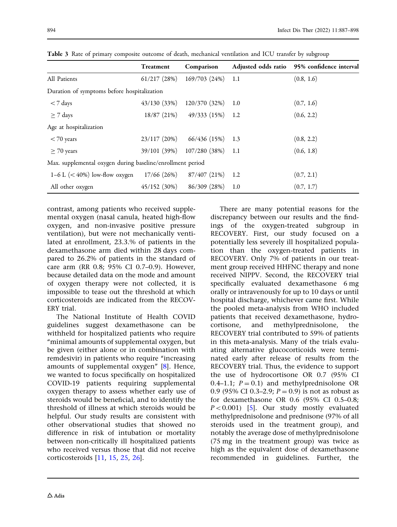|                                                            | <b>Treatment</b> | Comparison                 |      | Adjusted odds ratio 95% confidence interval |  |
|------------------------------------------------------------|------------------|----------------------------|------|---------------------------------------------|--|
| All Patients                                               | $61/217$ $(28%)$ | 169/703 (24%)              | 1.1  | (0.8, 1.6)                                  |  |
| Duration of symptoms before hospitalization                |                  |                            |      |                                             |  |
| $<$ 7 days                                                 | 43/130(33%)      | 120/370 (32%)              | 1.0  | (0.7, 1.6)                                  |  |
| $\geq$ 7 days                                              | 18/87(21%)       | 49/333 (15%)               | 1.2  | (0.6, 2.2)                                  |  |
| Age at hospitalization                                     |                  |                            |      |                                             |  |
| $<$ 70 years                                               | 23/117(20%)      | 66/436 (15%)               | 1.3  | (0.8, 2.2)                                  |  |
| $>$ 70 years                                               |                  | 39/101 (39%) 107/280 (38%) | -1.1 | (0.6, 1.8)                                  |  |
| Max. supplemental oxygen during baseline/enrollment period |                  |                            |      |                                             |  |
| 1–6 L $(< 40\%)$ low-flow oxygen                           | 17/66 (26%)      | 87/407 (21%)               | 1.2  | (0.7, 2.1)                                  |  |
| All other oxygen                                           | 45/152(30%)      | 86/309(28%)                | 1.0  | (0.7, 1.7)                                  |  |

<span id="page-9-0"></span>Table 3 Rate of primary composite outcome of death, mechanical ventilation and ICU transfer by subgroup

contrast, among patients who received supplemental oxygen (nasal canula, heated high-flow oxygen, and non-invasive positive pressure ventilation), but were not mechanically ventilated at enrollment, 23.3.% of patients in the dexamethasone arm died within 28 days compared to 26.2% of patients in the standard of care arm (RR 0.8; 95% CI 0.7–0.9). However, because detailed data on the mode and amount of oxygen therapy were not collected, it is impossible to tease out the threshold at which corticosteroids are indicated from the RECOV-ERY trial.

The National Institute of Health COVID guidelines suggest dexamethasone can be withheld for hospitalized patients who require ''minimal amounts of supplemental oxygen, but be given (either alone or in combination with remdesivir) in patients who require ''increasing amounts of supplemental oxygen'' [[8](#page-12-0)]. Hence, we wanted to focus specifically on hospitalized COVID-19 patients requiring supplemental oxygen therapy to assess whether early use of steroids would be beneficial, and to identify the threshold of illness at which steroids would be helpful. Our study results are consistent with other observational studies that showed no difference in risk of intubation or mortality between non-critically ill hospitalized patients who received versus those that did not receive corticosteroids [[11](#page-12-0), [15,](#page-12-0) [25](#page-13-0), [26](#page-13-0)].

There are many potential reasons for the discrepancy between our results and the findings of the oxygen-treated subgroup in RECOVERY. First, our study focused on a potentially less severely ill hospitalized population than the oxygen-treated patients in RECOVERY. Only 7% of patients in our treatment group received HHFNC therapy and none received NIPPV. Second, the RECOVERY trial specifically evaluated dexamethasone 6 mg orally or intravenously for up to 10 days or until hospital discharge, whichever came first. While the pooled meta-analysis from WHO included patients that received dexamethasone, hydrocortisone, and methylprednisolone, RECOVERY trial contributed to 59% of patients in this meta-analysis. Many of the trials evaluating alternative glucocorticoids were terminated early after release of results from the RECOVERY trial. Thus, the evidence to support the use of hydrocortisone OR 0.7 (95% CI 0.4–1.1;  $P = 0.1$ ) and methylprednisolone OR 0.9 (95% CI 0.3–2.9;  $P = 0.9$ ) is not as robust as for dexamethasone OR 0.6 (95% CI 0.5–0.8;  $P < 0.001$  [\[5\]](#page-12-0). Our study mostly evaluated methylprednisolone and prednisone (97% of all steroids used in the treatment group), and notably the average dose of methylprednisolone (75 mg in the treatment group) was twice as high as the equivalent dose of dexamethasone recommended in guidelines. Further, the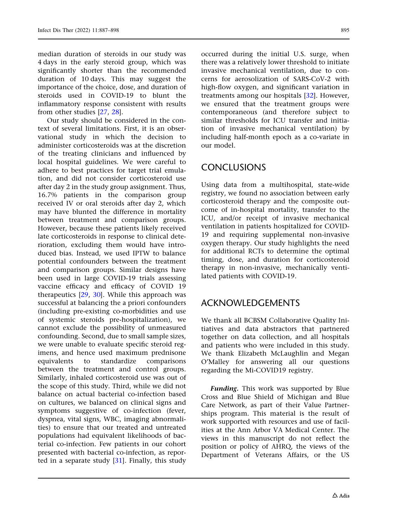median duration of steroids in our study was 4 days in the early steroid group, which was significantly shorter than the recommended duration of 10 days. This may suggest the importance of the choice, dose, and duration of steroids used in COVID-19 to blunt the inflammatory response consistent with results from other studies [[27](#page-13-0), [28\]](#page-13-0).

Our study should be considered in the context of several limitations. First, it is an observational study in which the decision to administer corticosteroids was at the discretion of the treating clinicians and influenced by local hospital guidelines. We were careful to adhere to best practices for target trial emulation, and did not consider corticosteroid use after day 2 in the study group assignment. Thus, 16.7% patients in the comparison group received IV or oral steroids after day 2, which may have blunted the difference in mortality between treatment and comparison groups. However, because these patients likely received late corticosteroids in response to clinical deterioration, excluding them would have introduced bias. Instead, we used IPTW to balance potential confounders between the treatment and comparison groups. Similar designs have been used in large COVID-19 trials assessing vaccine efficacy and efficacy of COVID 19 therapeutics [\[29,](#page-13-0) [30\]](#page-13-0). While this approach was successful at balancing the a priori confounders (including pre-existing co-morbidities and use of systemic steroids pre-hospitalization), we cannot exclude the possibility of unmeasured confounding. Second, due to small sample sizes, we were unable to evaluate specific steroid regimens, and hence used maximum prednisone equivalents to standardize comparisons between the treatment and control groups. Similarly, inhaled corticosteroid use was out of the scope of this study. Third, while we did not balance on actual bacterial co-infection based on cultures, we balanced on clinical signs and symptoms suggestive of co-infection (fever, dyspnea, vital signs, WBC, imaging abnormalities) to ensure that our treated and untreated populations had equivalent likelihoods of bacterial co-infection. Few patients in our cohort presented with bacterial co-infection, as reported in a separate study [\[31\]](#page-13-0). Finally, this study occurred during the initial U.S. surge, when there was a relatively lower threshold to initiate invasive mechanical ventilation, due to concerns for aerosolization of SARS-CoV-2 with high-flow oxygen, and significant variation in treatments among our hospitals [\[32\]](#page-13-0). However, we ensured that the treatment groups were contemporaneous (and therefore subject to similar thresholds for ICU transfer and initiation of invasive mechanical ventilation) by including half-month epoch as a co-variate in our model.

## CONCLUSIONS

Using data from a multihospital, state-wide registry, we found no association between early corticosteroid therapy and the composite outcome of in-hospital mortality, transfer to the ICU, and/or receipt of invasive mechanical ventilation in patients hospitalized for COVID-19 and requiring supplemental non-invasive oxygen therapy. Our study highlights the need for additional RCTs to determine the optimal timing, dose, and duration for corticosteroid therapy in non-invasive, mechanically ventilated patients with COVID-19.

## ACKNOWLEDGEMENTS

We thank all BCBSM Collaborative Quality Initiatives and data abstractors that partnered together on data collection, and all hospitals and patients who were included in this study. We thank Elizabeth McLaughlin and Megan O'Malley for answering all our questions regarding the Mi-COVID19 registry.

Funding. This work was supported by Blue Cross and Blue Shield of Michigan and Blue Care Network, as part of their Value Partnerships program. This material is the result of work supported with resources and use of facilities at the Ann Arbor VA Medical Center. The views in this manuscript do not reflect the position or policy of AHRQ, the views of the Department of Veterans Affairs, or the US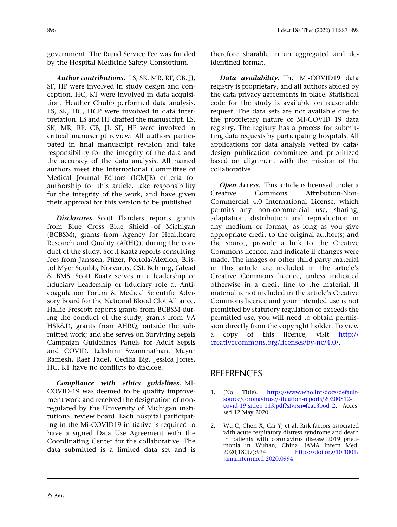<span id="page-11-0"></span>government. The Rapid Service Fee was funded by the Hospital Medicine Safety Consortium.

Author contributions. LS, SK, MR, RF, CB, JJ, SF, HP were involved in study design and conception. HC, KT were involved in data acquisition. Heather Chubb performed data analysis. LS, SK, HC, HCP were involved in data interpretation. LS and HP drafted the manuscript. LS, SK, MR, RF, CB, JJ, SF, HP were involved in critical manuscript review. All authors participated in final manuscript revision and take responsibility for the integrity of the data and the accuracy of the data analysis. All named authors meet the International Committee of Medical Journal Editors (ICMJE) criteria for authorship for this article, take responsibility for the integrity of the work, and have given their approval for this version to be published.

Disclosures. Scott Flanders reports grants from Blue Cross Blue Shield of Michigan (BCBSM), grants from Agency for Healthcare Research and Quality (ARHQ), during the conduct of the study. Scott Kaatz reports consulting fees from Janssen, Pfizer, Portola/Alexion, Bristol Myer Squibb, Norvartis, CSL Behring, Gilead & BMS. Scott Kaatz serves in a leadership or fiduciary Leadership or fiduciary role at Anticoagulation Forum & Medical Scientific Advisory Board for the National Blood Clot Alliance. Hallie Prescott reports grants from BCBSM during the conduct of the study; grants from VA HSR&D, grants from AHRQ, outside the submitted work; and she serves on Surviving Sepsis Campaign Guidelines Panels for Adult Sepsis and COVID. Lakshmi Swaminathan, Mayur Ramesh, Raef Fadel, Cecilia Big, Jessica Jones, HC, KT have no conflicts to disclose.

Compliance with ethics guidelines. MI-COVID-19 was deemed to be quality improvement work and received the designation of nonregulated by the University of Michigan institutional review board. Each hospital participating in the Mi-COVID19 initiative is required to have a signed Data Use Agreement with the Coordinating Center for the collaborative. The data submitted is a limited data set and is therefore sharable in an aggregated and deidentified format.

Data availability. The Mi-COVID19 data registry is proprietary, and all authors abided by the data privacy agreements in place. Statistical code for the study is available on reasonable request. The data sets are not available due to the proprietary nature of MI-COVID 19 data registry. The registry has a process for submitting data requests by participating hospitals. All applications for data analysis vetted by data/ design publication committee and prioritized based on alignment with the mission of the collaborative.

Open Access. This article is licensed under a Creative Commons Attribution-Non-Commercial 4.0 International License, which permits any non-commercial use, sharing, adaptation, distribution and reproduction in any medium or format, as long as you give appropriate credit to the original author(s) and the source, provide a link to the Creative Commons licence, and indicate if changes were made. The images or other third party material in this article are included in the article's Creative Commons licence, unless indicated otherwise in a credit line to the material. If material is not included in the article's Creative Commons licence and your intended use is not permitted by statutory regulation or exceeds the permitted use, you will need to obtain permission directly from the copyright holder. To view a copy of this licence, visit [http://](http://creativecommons.org/licenses/by-nc/4.0/) [creativecommons.org/licenses/by-nc/4.0/](http://creativecommons.org/licenses/by-nc/4.0/).

## **REFERENCES**

- 1. (No Title). [https://www.who.int/docs/default](https://www.who.int/docs/default-source/coronaviruse/situation-reports/20200512-covid-19-sitrep-113.pdf?sfvrsn=feac3b6d_2)[source/coronaviruse/situation-reports/20200512](https://www.who.int/docs/default-source/coronaviruse/situation-reports/20200512-covid-19-sitrep-113.pdf?sfvrsn=feac3b6d_2) [covid-19-sitrep-113.pdf?sfvrsn=feac3b6d\\_2.](https://www.who.int/docs/default-source/coronaviruse/situation-reports/20200512-covid-19-sitrep-113.pdf?sfvrsn=feac3b6d_2) Accessed 12 May 2020.
- 2. Wu C, Chen X, Cai Y, et al. Risk factors associated with acute respiratory distress syndrome and death in patients with coronavirus disease 2019 pneumonia in Wuhan, China. JAMA Intern Med. 2020;180(7):934. [https://doi.org/10.1001/](https://doi.org/10.1001/jamainternmed.2020.0994) [jamainternmed.2020.0994](https://doi.org/10.1001/jamainternmed.2020.0994).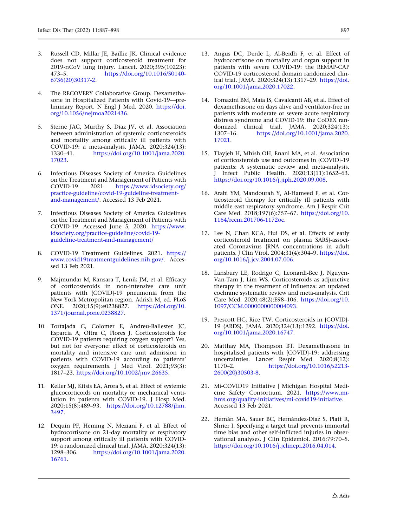- <span id="page-12-0"></span>3. Russell CD, Millar JE, Baillie JK. Clinical evidence does not support corticosteroid treatment for 2019-nCoV lung injury. Lancet. 2020;395(10223):<br>473-5. https://doi.org/10.1016/S0140-473–5. [https://doi.org/10.1016/S0140-](https://doi.org/10.1016/S0140-6736(20)30317-2) [6736\(20\)30317-2.](https://doi.org/10.1016/S0140-6736(20)30317-2)
- 4. The RECOVERY Collaborative Group. Dexamethasone in Hospitalized Patients with Covid-19—preliminary Report. N Engl J Med. 2020. [https://doi.](https://doi.org/10.1056/nejmoa2021436) [org/10.1056/nejmoa2021436.](https://doi.org/10.1056/nejmoa2021436)
- 5. Sterne JAC, Murthy S, Diaz JV, et al. Association between administration of systemic corticosteroids and mortality among critically ill patients with COVID-19: a meta-analysis. JAMA. 2020;324(13): 1330–41. [https://doi.org/10.1001/jama.2020.](https://doi.org/10.1001/jama.2020.17023) [17023](https://doi.org/10.1001/jama.2020.17023).
- 6. Infectious Diseases Society of America Guidelines on the Treatment and Management of Patients with COVID-19. 2021. [https://www.idsociety.org/](https://www.idsociety.org/practice-guideline/covid-19-guideline-treatment-and-management/) [practice-guideline/covid-19-guideline-treatment](https://www.idsociety.org/practice-guideline/covid-19-guideline-treatment-and-management/)[and-management/.](https://www.idsociety.org/practice-guideline/covid-19-guideline-treatment-and-management/) Accessed 13 Feb 2021.
- 7. Infectious Diseases Society of America Guidelines on the Treatment and Management of Patients with COVID-19. Accessed June 5, 2020. [https://www.](https://www.idsociety.org/practice-guideline/covid-19-guideline-treatment-and-management/) [idsociety.org/practice-guideline/covid-19](https://www.idsociety.org/practice-guideline/covid-19-guideline-treatment-and-management/) [guideline-treatment-and-management/](https://www.idsociety.org/practice-guideline/covid-19-guideline-treatment-and-management/)
- 8. COVID-19 Treatment Guidelines. 2021. [https://](https://www.covid19treatmentguidelines.nih.gov/) [www.covid19treatmentguidelines.nih.gov/.](https://www.covid19treatmentguidelines.nih.gov/) Accessed 13 Feb 2021.
- 9. Majmundar M, Kansara T, Lenik JM, et al. Efficacy of corticosteroids in non-intensive care unit patients with {COVID}-19 pneumonia from the New York Metropolitan region. Adrish M, ed. PLoS ONE. 2020;15(9):e0238827. [https://doi.org/10.](https://doi.org/10.1371/journal.pone.0238827) [1371/journal.pone.0238827](https://doi.org/10.1371/journal.pone.0238827).
- 10. Tortajada C, Colomer E, Andreu-Ballester JC, Esparcia A, Oltra C, Flores J. Corticosteroids for COVID-19 patients requiring oxygen support? Yes, but not for everyone: effect of corticosteroids on mortality and intensive care unit admission in patients with COVID-19 according to patients' oxygen requirements. J Med Virol. 2021;93(3): 1817–23. <https://doi.org/10.1002/jmv.26635>.
- 11. Keller MJ, Kitsis EA, Arora S, et al. Effect of systemic glucocorticoids on mortality or mechanical ventilation in patients with COVID-19. J Hosp Med. 2020;15(8):489–93. [https://doi.org/10.12788/jhm.](https://doi.org/10.12788/jhm.3497) [3497](https://doi.org/10.12788/jhm.3497).
- 12. Dequin PF, Heming N, Meziani F, et al. Effect of hydrocortisone on 21-day mortality or respiratory support among critically ill patients with COVID-19: a randomized clinical trial. JAMA. 2020;324(13): 1298–306. [https://doi.org/10.1001/jama.2020.](https://doi.org/10.1001/jama.2020.16761) [16761](https://doi.org/10.1001/jama.2020.16761).
- 13. Angus DC, Derde L, Al-Beidh F, et al. Effect of hydrocortisone on mortality and organ support in patients with severe COVID-19: the REMAP-CAP COVID-19 corticosteroid domain randomized clinical trial. JAMA. 2020;324(13):1317–29. [https://doi.](https://doi.org/10.1001/jama.2020.17022) [org/10.1001/jama.2020.17022](https://doi.org/10.1001/jama.2020.17022).
- 14. Tomazini BM, Maia IS, Cavalcanti AB, et al. Effect of dexamethasone on days alive and ventilator-free in patients with moderate or severe acute respiratory distress syndrome and COVID-19: the CoDEX randomized clinical trial. JAMA. 2020;324(13):<br>1307–16. https://doi.org/10.1001/jama.2020. [https://doi.org/10.1001/jama.2020.](https://doi.org/10.1001/jama.2020.17021) [17021](https://doi.org/10.1001/jama.2020.17021).
- 15. Tlayjeh H, Mhish OH, Enani MA, et al. Association of corticosteroids use and outcomes in {COVID}-19 patients: A systematic review and meta-analysis. J Infect Public Health. 2020;13(11):1652–63. <https://doi.org/10.1016/j.jiph.2020.09.008>.
- 16. Arabi YM, Mandourah Y, Al-Hameed F, et al. Corticosteroid therapy for critically ill patients with middle east respiratory syndrome. Am J Respir Crit Care Med. 2018;197(6):757–67. [https://doi.org/10.](https://doi.org/10.1164/rccm.201706-1172oc) [1164/rccm.201706-1172oc](https://doi.org/10.1164/rccm.201706-1172oc).
- 17. Lee N, Chan KCA, Hui DS, et al. Effects of early corticosteroid treatment on plasma SARS}-associated Coronavirus {RNA concentrations in adult patients. J Clin Virol. 2004;31(4):304–9. [https://doi.](https://doi.org/10.1016/j.jcv.2004.07.006) [org/10.1016/j.jcv.2004.07.006.](https://doi.org/10.1016/j.jcv.2004.07.006)
- 18. Lansbury LE, Rodrigo C, Leonardi-Bee J, Nguyen-Van-Tam J, Lim WS. Corticosteroids as adjunctive therapy in the treatment of influenza: an updated cochrane systematic review and meta-analysis. Crit Care Med. 2020;48(2):E98–106. [https://doi.org/10.](https://doi.org/10.1097/CCM.0000000000004093) [1097/CCM.0000000000004093.](https://doi.org/10.1097/CCM.0000000000004093)
- 19. Prescott HC, Rice TW. Corticosteroids in {COVID}- 19 {ARDS}. JAMA. 2020;324(13):1292. [https://doi.](https://doi.org/10.1001/jama.2020.16747) [org/10.1001/jama.2020.16747](https://doi.org/10.1001/jama.2020.16747).
- 20. Matthay MA, Thompson BT. Dexamethasone in hospitalised patients with {COVID}-19: addressing uncertainties. Lancet Respir Med. 2020;8(12): 1170–2. [https://doi.org/10.1016/s2213-](https://doi.org/10.1016/s2213-2600(20)30503-8) [2600\(20\)30503-8](https://doi.org/10.1016/s2213-2600(20)30503-8).
- 21. Mi-COVID19 Initiative | Michigan Hospital Medicine Safety Consortium. 2021. [https://www.mi](https://www.mi-hms.org/quality-initiatives/mi-covid19-initiative)[hms.org/quality-initiatives/mi-covid19-initiative](https://www.mi-hms.org/quality-initiatives/mi-covid19-initiative). Accessed 13 Feb 2021.
- 22. Hernán MA, Sauer BC, Hernández-Díaz S, Platt R, Shrier I. Specifying a target trial prevents immortal time bias and other self-inflicted injuries in observational analyses. J Clin Epidemiol. 2016;79:70–5. [https://doi.org/10.1016/j.jclinepi.2016.04.014.](https://doi.org/10.1016/j.jclinepi.2016.04.014)